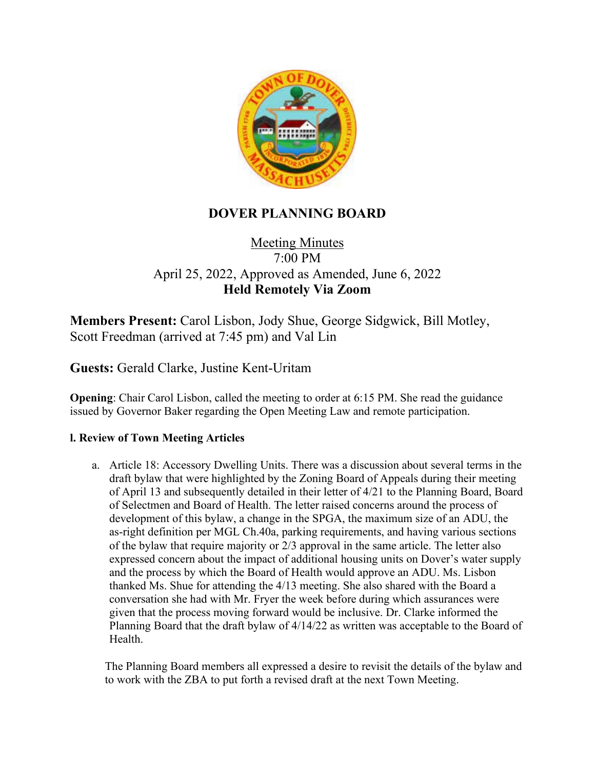

## **DOVER PLANNING BOARD**

## **Meeting Minutes** 7:00 PM April 25, 2022, Approved as Amended, June 6, 2022 **Held Remotely Via Zoom**

**Members Present:** Carol Lisbon, Jody Shue, George Sidgwick, Bill Motley, Scott Freedman (arrived at 7:45 pm) and Val Lin

**Guests:** Gerald Clarke, Justine Kent-Uritam

**Opening**: Chair Carol Lisbon, called the meeting to order at 6:15 PM. She read the guidance issued by Governor Baker regarding the Open Meeting Law and remote participation.

## **l. Review of Town Meeting Articles**

a. Article 18: Accessory Dwelling Units. There was a discussion about several terms in the draft bylaw that were highlighted by the Zoning Board of Appeals during their meeting of April 13 and subsequently detailed in their letter of 4/21 to the Planning Board, Board of Selectmen and Board of Health. The letter raised concerns around the process of development of this bylaw, a change in the SPGA, the maximum size of an ADU, the as-right definition per MGL Ch.40a, parking requirements, and having various sections of the bylaw that require majority or 2/3 approval in the same article. The letter also expressed concern about the impact of additional housing units on Dover's water supply and the process by which the Board of Health would approve an ADU. Ms. Lisbon thanked Ms. Shue for attending the 4/13 meeting. She also shared with the Board a conversation she had with Mr. Fryer the week before during which assurances were given that the process moving forward would be inclusive. Dr. Clarke informed the Planning Board that the draft bylaw of 4/14/22 as written was acceptable to the Board of Health.

The Planning Board members all expressed a desire to revisit the details of the bylaw and to work with the ZBA to put forth a revised draft at the next Town Meeting.